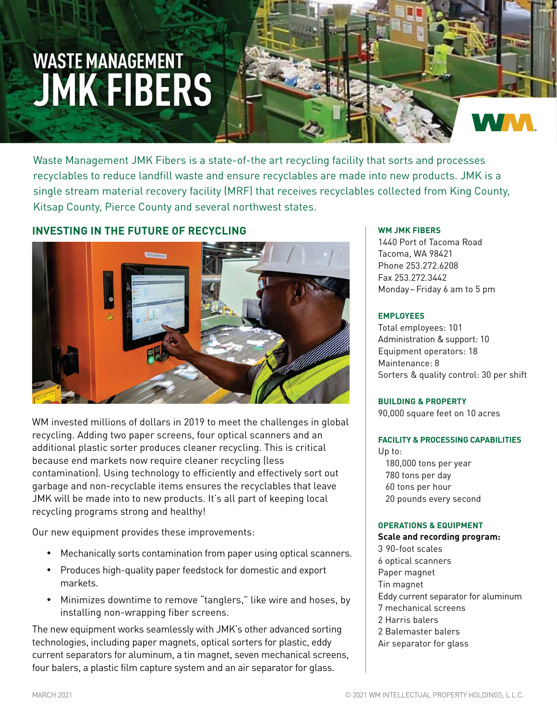# **WASTE MANAGEMENT JMK FIBERS**

Waste Management JMK Fibers is a state-of-the art recycling facility that sorts and processes recyclables to reduce landfill waste and ensure recyclables are made into new products. JMK is a single stream material recovery facility (MRF) that receives recyclables collected from King County, Kitsap County, Pierce County and several northwest states.

# **INVESTING IN THE FUTURE OF RECYCLING**



WM invested millions of dollars in 2019 to meet the challenges in global recycling. Adding two paper screens, four optical scanners and an additional plastic sorter produces cleaner recycling. This is critical because end markets now require cleaner recycling (less contamination). Using technology to efficiently and effectively sort out garbage and non-recyclable items ensures the recyclables that leave JMK will be made into to new products. It's all part of keeping local recycling programs strong and healthy!

Our new equipment provides these improvements:

- Mechanically sorts contamination from paper using optical scanners.
- Produces high-quality paper feedstock for domestic and export markets.
- Minimizes downtime to remove "tanglers," like wire and hoses, by installing non-wrapping fiber screens.

The new equipment works seamlessly with JMK's other advanced sorting technologies, including paper magnets, optical sorters for plastic, eddy current separators for aluminum, a tin magnet, seven mechanical screens, four balers, a plastic film capture system and an air separator for glass.

## **WM JMK FIBERS**

1440 Port of Tacoma Road Tacoma, WA 98421 Phone 253.272.6208 Fax 253.272.3442 Monday–Friday 6 am to 5 pm

### **EMPLOYEES**

Total employees: 101 Administration & support: 10 Equipment operators: 18 Maintenance: 8 Sorters & quality control: 30 per shift

**BUILDING & PROPERTY** 90,000 square feet on 10 acres

### **FACILITY & PROCESSING CAPABILITIES**

Up to: 180,000 tons per year 780 tons per day 60 tons per hour 20 pounds every second

### **OPERATIONS & EQUIPMENT**

**Scale and recording program:** 3 90-foot scales 6 optical scanners Paper magnet Tin magnet Eddy current separator for aluminum 7 mechanical screens 2 Harris balers 2 Balemaster balers Air separator for glass